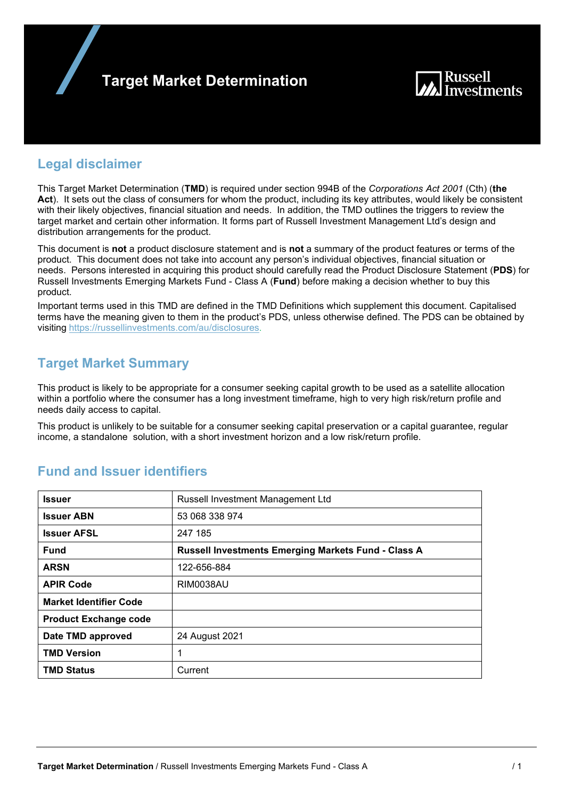



## **Legal disclaimer**

This Target Market Determination (**TMD**) is required under section 994B of the *Corporations Act 2001* (Cth) (**the Act**). It sets out the class of consumers for whom the product, including its key attributes, would likely be consistent with their likely objectives, financial situation and needs. In addition, the TMD outlines the triggers to review the target market and certain other information. It forms part of Russell Investment Management Ltd's design and distribution arrangements for the product.

This document is **not** a product disclosure statement and is **not** a summary of the product features or terms of the product. This document does not take into account any person's individual objectives, financial situation or needs. Persons interested in acquiring this product should carefully read the Product Disclosure Statement (**PDS**) for Russell Investments Emerging Markets Fund - Class A (**Fund**) before making a decision whether to buy this product.

Important terms used in this TMD are defined in the TMD Definitions which supplement this document. Capitalised terms have the meaning given to them in the product's PDS, unless otherwise defined. The PDS can be obtained by visiting https://russellinvestments.com/au/disclosures.

## **Target Market Summary**

This product is likely to be appropriate for a consumer seeking capital growth to be used as a satellite allocation within a portfolio where the consumer has a long investment timeframe, high to very high risk/return profile and needs daily access to capital.

This product is unlikely to be suitable for a consumer seeking capital preservation or a capital guarantee, regular income, a standalone solution, with a short investment horizon and a low risk/return profile.

| <b>Issuer</b>                 | <b>Russell Investment Management Ltd</b>                   |
|-------------------------------|------------------------------------------------------------|
| <b>Issuer ABN</b>             | 53 068 338 974                                             |
| <b>Issuer AFSL</b>            | 247 185                                                    |
| <b>Fund</b>                   | <b>Russell Investments Emerging Markets Fund - Class A</b> |
| <b>ARSN</b>                   | 122-656-884                                                |
| <b>APIR Code</b>              | RIM0038AU                                                  |
| <b>Market Identifier Code</b> |                                                            |
| <b>Product Exchange code</b>  |                                                            |
| Date TMD approved             | 24 August 2021                                             |
| <b>TMD Version</b>            | 1                                                          |
| <b>TMD Status</b>             | Current                                                    |

## **Fund and Issuer identifiers**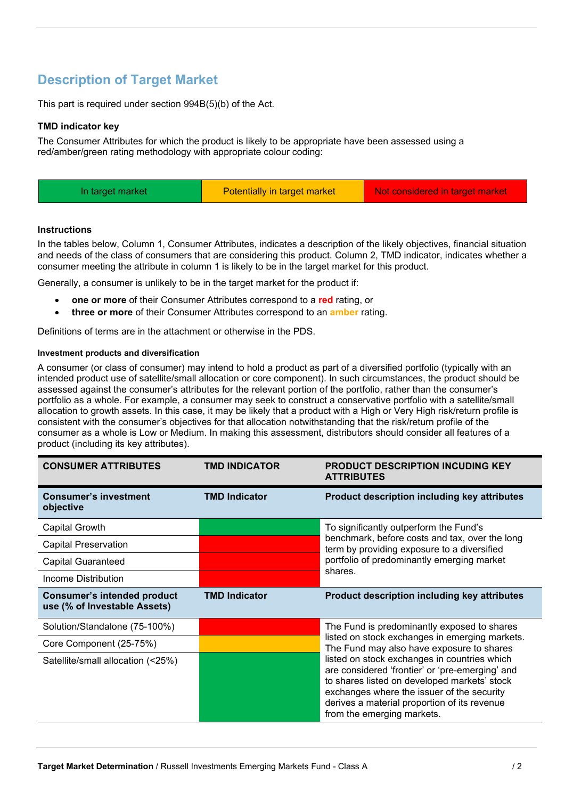# **Description of Target Market**

This part is required under section 994B(5)(b) of the Act.

### **TMD indicator key**

The Consumer Attributes for which the product is likely to be appropriate have been assessed using a red/amber/green rating methodology with appropriate colour coding:

| Potentially in target market<br>Not considered in target market<br>In target market |  |
|-------------------------------------------------------------------------------------|--|
|-------------------------------------------------------------------------------------|--|

### **Instructions**

In the tables below, Column 1, Consumer Attributes, indicates a description of the likely objectives, financial situation and needs of the class of consumers that are considering this product. Column 2, TMD indicator, indicates whether a consumer meeting the attribute in column 1 is likely to be in the target market for this product.

Generally, a consumer is unlikely to be in the target market for the product if:

- **one or more** of their Consumer Attributes correspond to a **red** rating, or
- **three or more** of their Consumer Attributes correspond to an **amber** rating.

Definitions of terms are in the attachment or otherwise in the PDS.

### **Investment products and diversification**

A consumer (or class of consumer) may intend to hold a product as part of a diversified portfolio (typically with an intended product use of satellite/small allocation or core component). In such circumstances, the product should be assessed against the consumer's attributes for the relevant portion of the portfolio, rather than the consumer's portfolio as a whole. For example, a consumer may seek to construct a conservative portfolio with a satellite/small allocation to growth assets. In this case, it may be likely that a product with a High or Very High risk/return profile is consistent with the consumer's objectives for that allocation notwithstanding that the risk/return profile of the consumer as a whole is Low or Medium. In making this assessment, distributors should consider all features of a product (including its key attributes).

| <b>CONSUMER ATTRIBUTES</b>                                         | <b>TMD INDICATOR</b> | <b>PRODUCT DESCRIPTION INCUDING KEY</b><br><b>ATTRIBUTES</b>                                                                                                                                                                                                                |
|--------------------------------------------------------------------|----------------------|-----------------------------------------------------------------------------------------------------------------------------------------------------------------------------------------------------------------------------------------------------------------------------|
| <b>Consumer's investment</b><br>objective                          | <b>TMD Indicator</b> | Product description including key attributes                                                                                                                                                                                                                                |
| Capital Growth                                                     |                      | To significantly outperform the Fund's                                                                                                                                                                                                                                      |
| <b>Capital Preservation</b>                                        |                      | benchmark, before costs and tax, over the long<br>term by providing exposure to a diversified                                                                                                                                                                               |
| <b>Capital Guaranteed</b>                                          |                      | portfolio of predominantly emerging market                                                                                                                                                                                                                                  |
| Income Distribution                                                |                      | shares.                                                                                                                                                                                                                                                                     |
| <b>Consumer's intended product</b><br>use (% of Investable Assets) | <b>TMD Indicator</b> | <b>Product description including key attributes</b>                                                                                                                                                                                                                         |
| Solution/Standalone (75-100%)                                      |                      | The Fund is predominantly exposed to shares                                                                                                                                                                                                                                 |
| Core Component (25-75%)                                            |                      | listed on stock exchanges in emerging markets.<br>The Fund may also have exposure to shares                                                                                                                                                                                 |
| Satellite/small allocation (<25%)                                  |                      | listed on stock exchanges in countries which<br>are considered 'frontier' or 'pre-emerging' and<br>to shares listed on developed markets' stock<br>exchanges where the issuer of the security<br>derives a material proportion of its revenue<br>from the emerging markets. |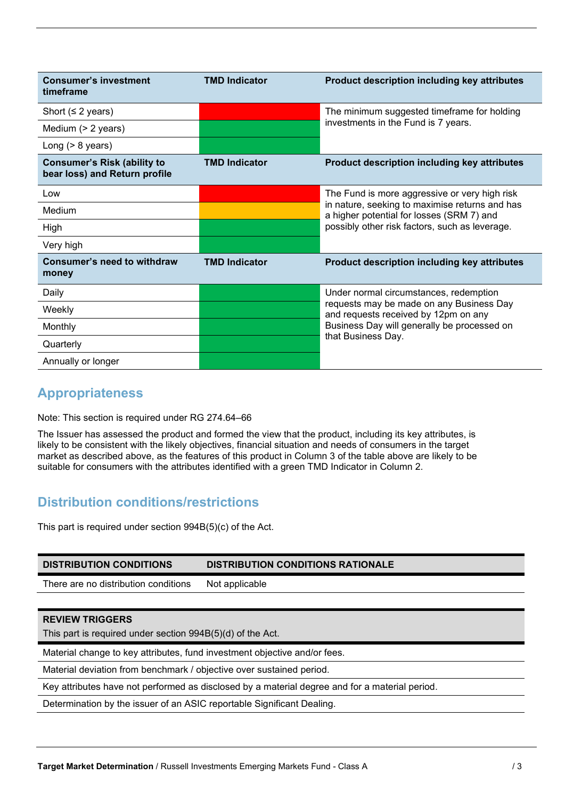| <b>Consumer's investment</b><br>timeframe                           | <b>TMD Indicator</b> | Product description including key attributes                                                                                    |  |
|---------------------------------------------------------------------|----------------------|---------------------------------------------------------------------------------------------------------------------------------|--|
| Short ( $\leq$ 2 years)                                             |                      | The minimum suggested timeframe for holding                                                                                     |  |
| Medium (> 2 years)                                                  |                      | investments in the Fund is 7 years.                                                                                             |  |
| Long $(> 8$ years)                                                  |                      |                                                                                                                                 |  |
| <b>Consumer's Risk (ability to</b><br>bear loss) and Return profile | <b>TMD Indicator</b> | Product description including key attributes                                                                                    |  |
| Low                                                                 |                      | The Fund is more aggressive or very high risk                                                                                   |  |
| Medium                                                              |                      | in nature, seeking to maximise returns and has<br>a higher potential for losses (SRM 7) and                                     |  |
| High                                                                |                      | possibly other risk factors, such as leverage.                                                                                  |  |
| Very high                                                           |                      |                                                                                                                                 |  |
| Consumer's need to withdraw<br>money                                | <b>TMD Indicator</b> | Product description including key attributes                                                                                    |  |
| Daily                                                               |                      | Under normal circumstances, redemption                                                                                          |  |
| Weekly                                                              |                      | requests may be made on any Business Day<br>and requests received by 12pm on any<br>Business Day will generally be processed on |  |
| Monthly                                                             |                      |                                                                                                                                 |  |
| Quarterly                                                           |                      | that Business Day.                                                                                                              |  |
| Annually or longer                                                  |                      |                                                                                                                                 |  |

## **Appropriateness**

Note: This section is required under RG 274.64–66

The Issuer has assessed the product and formed the view that the product, including its key attributes, is likely to be consistent with the likely objectives, financial situation and needs of consumers in the target market as described above, as the features of this product in Column 3 of the table above are likely to be suitable for consumers with the attributes identified with a green TMD Indicator in Column 2.

## **Distribution conditions/restrictions**

This part is required under section 994B(5)(c) of the Act.

| <b>DISTRIBUTION CONDITIONS</b>                                                                 | <b>DISTRIBUTION CONDITIONS RATIONALE</b> |  |
|------------------------------------------------------------------------------------------------|------------------------------------------|--|
| There are no distribution conditions                                                           | Not applicable                           |  |
|                                                                                                |                                          |  |
| <b>REVIEW TRIGGERS</b>                                                                         |                                          |  |
| This part is required under section 994B(5)(d) of the Act.                                     |                                          |  |
| Material change to key attributes, fund investment objective and/or fees.                      |                                          |  |
| Material deviation from benchmark / objective over sustained period.                           |                                          |  |
| Key attributes have not performed as disclosed by a material degree and for a material period. |                                          |  |
| Determination by the issuer of an ASIC reportable Significant Dealing.                         |                                          |  |
|                                                                                                |                                          |  |
|                                                                                                |                                          |  |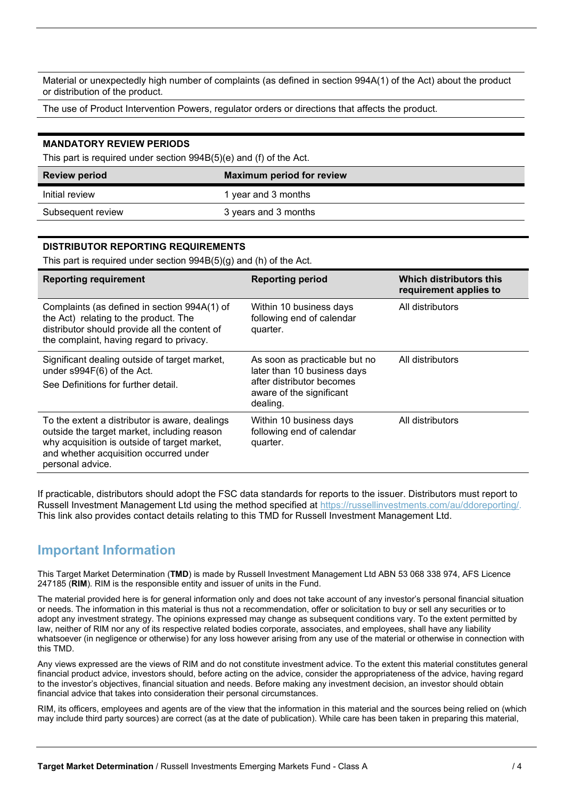Material or unexpectedly high number of complaints (as defined in section 994A(1) of the Act) about the product or distribution of the product.

The use of Product Intervention Powers, regulator orders or directions that affects the product.

#### **MANDATORY REVIEW PERIODS**

This part is required under section 994B(5)(e) and (f) of the Act.

| <b>Review period</b> | <b>Maximum period for review</b> |
|----------------------|----------------------------------|
| Initial review       | 1 year and 3 months              |
| Subsequent review    | 3 years and 3 months             |

### **DISTRIBUTOR REPORTING REQUIREMENTS**

This part is required under section 994B(5)(g) and (h) of the Act.

| <b>Reporting requirement</b>                                                                                                                                                                                | <b>Reporting period</b>                                                                                                           | Which distributors this<br>requirement applies to |
|-------------------------------------------------------------------------------------------------------------------------------------------------------------------------------------------------------------|-----------------------------------------------------------------------------------------------------------------------------------|---------------------------------------------------|
| Complaints (as defined in section 994A(1) of<br>the Act) relating to the product. The<br>distributor should provide all the content of<br>the complaint, having regard to privacy.                          | Within 10 business days<br>following end of calendar<br>quarter.                                                                  | All distributors                                  |
| Significant dealing outside of target market,<br>under s994F(6) of the Act.<br>See Definitions for further detail.                                                                                          | As soon as practicable but no<br>later than 10 business days<br>after distributor becomes<br>aware of the significant<br>dealing. | All distributors                                  |
| To the extent a distributor is aware, dealings<br>outside the target market, including reason<br>why acquisition is outside of target market,<br>and whether acquisition occurred under<br>personal advice. | Within 10 business days<br>following end of calendar<br>quarter.                                                                  | All distributors                                  |

If practicable, distributors should adopt the FSC data standards for reports to the issuer. Distributors must report to Russell Investment Management Ltd using the method specified at https://russellinvestments.com/au/ddoreporting/. This link also provides contact details relating to this TMD for Russell Investment Management Ltd.

### **Important Information**

This Target Market Determination (**TMD**) is made by Russell Investment Management Ltd ABN 53 068 338 974, AFS Licence 247185 (**RIM**). RIM is the responsible entity and issuer of units in the Fund.

The material provided here is for general information only and does not take account of any investor's personal financial situation or needs. The information in this material is thus not a recommendation, offer or solicitation to buy or sell any securities or to adopt any investment strategy. The opinions expressed may change as subsequent conditions vary. To the extent permitted by law, neither of RIM nor any of its respective related bodies corporate, associates, and employees, shall have any liability whatsoever (in negligence or otherwise) for any loss however arising from any use of the material or otherwise in connection with this TMD.

Any views expressed are the views of RIM and do not constitute investment advice. To the extent this material constitutes general financial product advice, investors should, before acting on the advice, consider the appropriateness of the advice, having regard to the investor's objectives, financial situation and needs. Before making any investment decision, an investor should obtain financial advice that takes into consideration their personal circumstances.

RIM, its officers, employees and agents are of the view that the information in this material and the sources being relied on (which may include third party sources) are correct (as at the date of publication). While care has been taken in preparing this material,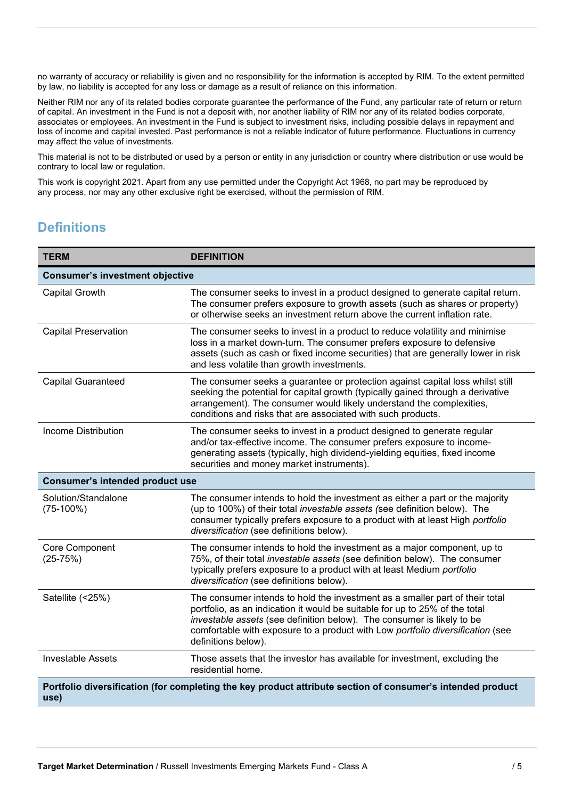no warranty of accuracy or reliability is given and no responsibility for the information is accepted by RIM. To the extent permitted by law, no liability is accepted for any loss or damage as a result of reliance on this information.

Neither RIM nor any of its related bodies corporate guarantee the performance of the Fund, any particular rate of return or return of capital. An investment in the Fund is not a deposit with, nor another liability of RIM nor any of its related bodies corporate, associates or employees. An investment in the Fund is subject to investment risks, including possible delays in repayment and loss of income and capital invested. Past performance is not a reliable indicator of future performance. Fluctuations in currency may affect the value of investments.

This material is not to be distributed or used by a person or entity in any jurisdiction or country where distribution or use would be contrary to local law or regulation.

This work is copyright 2021. Apart from any use permitted under the Copyright Act 1968, no part may be reproduced by any process, nor may any other exclusive right be exercised, without the permission of RIM.

## **Definitions**

| <b>TERM</b>                            | <b>DEFINITION</b>                                                                                                                                                                                                                                                                                                                              |  |
|----------------------------------------|------------------------------------------------------------------------------------------------------------------------------------------------------------------------------------------------------------------------------------------------------------------------------------------------------------------------------------------------|--|
| <b>Consumer's investment objective</b> |                                                                                                                                                                                                                                                                                                                                                |  |
| <b>Capital Growth</b>                  | The consumer seeks to invest in a product designed to generate capital return.<br>The consumer prefers exposure to growth assets (such as shares or property)<br>or otherwise seeks an investment return above the current inflation rate.                                                                                                     |  |
| <b>Capital Preservation</b>            | The consumer seeks to invest in a product to reduce volatility and minimise<br>loss in a market down-turn. The consumer prefers exposure to defensive<br>assets (such as cash or fixed income securities) that are generally lower in risk<br>and less volatile than growth investments.                                                       |  |
| <b>Capital Guaranteed</b>              | The consumer seeks a guarantee or protection against capital loss whilst still<br>seeking the potential for capital growth (typically gained through a derivative<br>arrangement). The consumer would likely understand the complexities,<br>conditions and risks that are associated with such products.                                      |  |
| <b>Income Distribution</b>             | The consumer seeks to invest in a product designed to generate regular<br>and/or tax-effective income. The consumer prefers exposure to income-<br>generating assets (typically, high dividend-yielding equities, fixed income<br>securities and money market instruments).                                                                    |  |
| <b>Consumer's intended product use</b> |                                                                                                                                                                                                                                                                                                                                                |  |
| Solution/Standalone<br>$(75-100%)$     | The consumer intends to hold the investment as either a part or the majority<br>(up to 100%) of their total investable assets (see definition below). The<br>consumer typically prefers exposure to a product with at least High portfolio<br>diversification (see definitions below).                                                         |  |
| Core Component<br>$(25-75%)$           | The consumer intends to hold the investment as a major component, up to<br>75%, of their total investable assets (see definition below). The consumer<br>typically prefers exposure to a product with at least Medium portfolio<br>diversification (see definitions below).                                                                    |  |
| Satellite (<25%)                       | The consumer intends to hold the investment as a smaller part of their total<br>portfolio, as an indication it would be suitable for up to 25% of the total<br>investable assets (see definition below). The consumer is likely to be<br>comfortable with exposure to a product with Low portfolio diversification (see<br>definitions below). |  |
| <b>Investable Assets</b>               | Those assets that the investor has available for investment, excluding the<br>residential home.                                                                                                                                                                                                                                                |  |
| use)                                   | Portfolio diversification (for completing the key product attribute section of consumer's intended product                                                                                                                                                                                                                                     |  |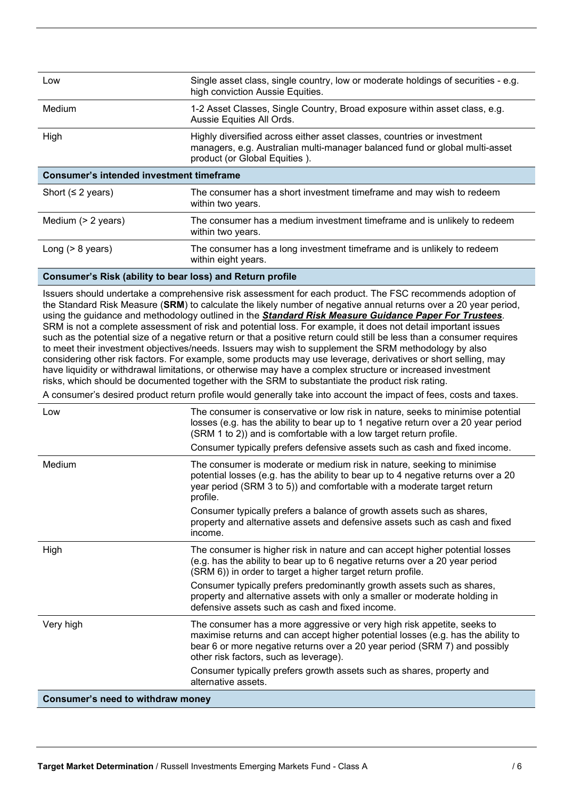| Low                                             | Single asset class, single country, low or moderate holdings of securities - e.g.<br>high conviction Aussie Equities.                                                                   |  |
|-------------------------------------------------|-----------------------------------------------------------------------------------------------------------------------------------------------------------------------------------------|--|
| Medium                                          | 1-2 Asset Classes, Single Country, Broad exposure within asset class, e.g.<br>Aussie Equities All Ords.                                                                                 |  |
| High                                            | Highly diversified across either asset classes, countries or investment<br>managers, e.g. Australian multi-manager balanced fund or global multi-asset<br>product (or Global Equities). |  |
| <b>Consumer's intended investment timeframe</b> |                                                                                                                                                                                         |  |
| Short ( $\leq$ 2 years)                         | The consumer has a short investment timeframe and may wish to redeem<br>within two years.                                                                                               |  |
| Medium $(> 2$ years)                            | The consumer has a medium investment timeframe and is unlikely to redeem<br>within two years.                                                                                           |  |
| Long $(> 8$ years)                              | The consumer has a long investment timeframe and is unlikely to redeem<br>within eight years.                                                                                           |  |

### **Consumer's Risk (ability to bear loss) and Return profile**

Issuers should undertake a comprehensive risk assessment for each product. The FSC recommends adoption of the Standard Risk Measure (**SRM**) to calculate the likely number of negative annual returns over a 20 year period, using the guidance and methodology outlined in the *Standard Risk Measure Guidance Paper For Trustees*. SRM is not a complete assessment of risk and potential loss. For example, it does not detail important issues such as the potential size of a negative return or that a positive return could still be less than a consumer requires to meet their investment objectives/needs. Issuers may wish to supplement the SRM methodology by also considering other risk factors. For example, some products may use leverage, derivatives or short selling, may have liquidity or withdrawal limitations, or otherwise may have a complex structure or increased investment risks, which should be documented together with the SRM to substantiate the product risk rating.

A consumer's desired product return profile would generally take into account the impact of fees, costs and taxes.

| Low                               | The consumer is conservative or low risk in nature, seeks to minimise potential<br>losses (e.g. has the ability to bear up to 1 negative return over a 20 year period<br>(SRM 1 to 2)) and is comfortable with a low target return profile.<br>Consumer typically prefers defensive assets such as cash and fixed income. |
|-----------------------------------|---------------------------------------------------------------------------------------------------------------------------------------------------------------------------------------------------------------------------------------------------------------------------------------------------------------------------|
| Medium                            | The consumer is moderate or medium risk in nature, seeking to minimise<br>potential losses (e.g. has the ability to bear up to 4 negative returns over a 20<br>year period (SRM 3 to 5)) and comfortable with a moderate target return<br>profile.                                                                        |
|                                   | Consumer typically prefers a balance of growth assets such as shares,<br>property and alternative assets and defensive assets such as cash and fixed<br>income.                                                                                                                                                           |
| High                              | The consumer is higher risk in nature and can accept higher potential losses<br>(e.g. has the ability to bear up to 6 negative returns over a 20 year period<br>(SRM 6)) in order to target a higher target return profile.                                                                                               |
|                                   | Consumer typically prefers predominantly growth assets such as shares,<br>property and alternative assets with only a smaller or moderate holding in<br>defensive assets such as cash and fixed income.                                                                                                                   |
| Very high                         | The consumer has a more aggressive or very high risk appetite, seeks to<br>maximise returns and can accept higher potential losses (e.g. has the ability to<br>bear 6 or more negative returns over a 20 year period (SRM 7) and possibly<br>other risk factors, such as leverage).                                       |
|                                   | Consumer typically prefers growth assets such as shares, property and<br>alternative assets.                                                                                                                                                                                                                              |
| Consumer's need to withdraw money |                                                                                                                                                                                                                                                                                                                           |